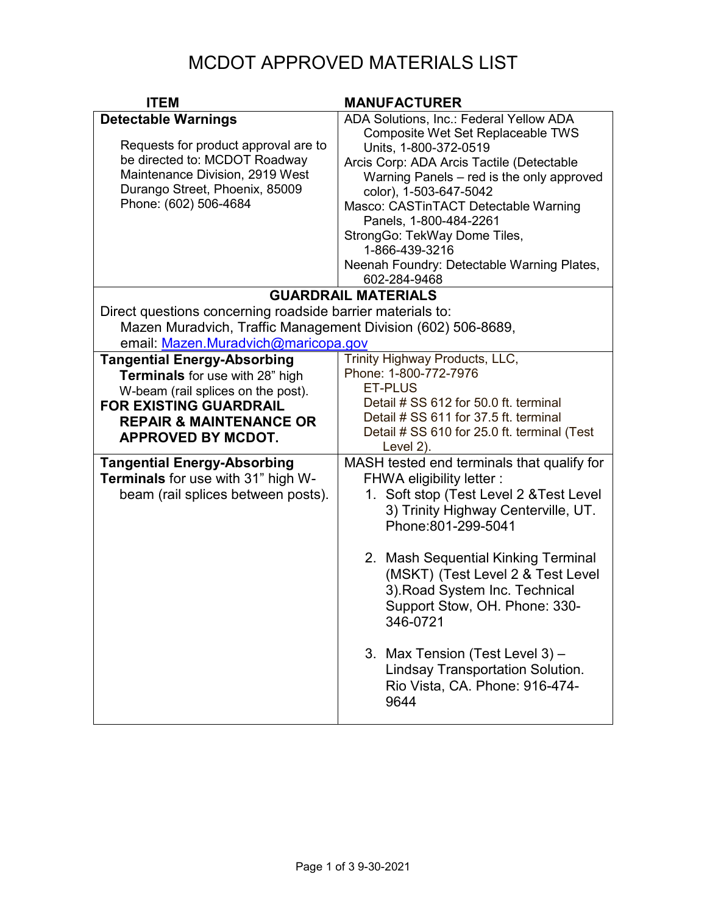## MCDOT APPROVED MATERIALS LIST

| <b>ITEM</b>                                                                                                                                                                                                            | <b>MANUFACTURER</b>                                                                                                                                                                                                                                                                                                                                                                                                                                                      |
|------------------------------------------------------------------------------------------------------------------------------------------------------------------------------------------------------------------------|--------------------------------------------------------------------------------------------------------------------------------------------------------------------------------------------------------------------------------------------------------------------------------------------------------------------------------------------------------------------------------------------------------------------------------------------------------------------------|
| <b>Detectable Warnings</b><br>Requests for product approval are to<br>be directed to: MCDOT Roadway<br>Maintenance Division, 2919 West<br>Durango Street, Phoenix, 85009<br>Phone: (602) 506-4684                      | ADA Solutions, Inc.: Federal Yellow ADA<br>Composite Wet Set Replaceable TWS<br>Units, 1-800-372-0519<br>Arcis Corp: ADA Arcis Tactile (Detectable<br>Warning Panels - red is the only approved<br>color), 1-503-647-5042<br>Masco: CASTinTACT Detectable Warning<br>Panels, 1-800-484-2261<br>StrongGo: TekWay Dome Tiles,<br>1-866-439-3216<br>Neenah Foundry: Detectable Warning Plates,<br>602-284-9468                                                              |
|                                                                                                                                                                                                                        | <b>GUARDRAIL MATERIALS</b>                                                                                                                                                                                                                                                                                                                                                                                                                                               |
| Direct questions concerning roadside barrier materials to:<br>Mazen Muradvich, Traffic Management Division (602) 506-8689,<br>email: Mazen.Muradvich@maricopa.gov                                                      |                                                                                                                                                                                                                                                                                                                                                                                                                                                                          |
| <b>Tangential Energy-Absorbing</b><br><b>Terminals</b> for use with 28" high<br>W-beam (rail splices on the post).<br><b>FOR EXISTING GUARDRAIL</b><br><b>REPAIR &amp; MAINTENANCE OR</b><br><b>APPROVED BY MCDOT.</b> | Trinity Highway Products, LLC,<br>Phone: 1-800-772-7976<br><b>ET-PLUS</b><br>Detail # SS 612 for 50.0 ft. terminal<br>Detail # SS 611 for 37.5 ft. terminal<br>Detail # SS 610 for 25.0 ft. terminal (Test<br>Level 2).                                                                                                                                                                                                                                                  |
| <b>Tangential Energy-Absorbing</b><br><b>Terminals</b> for use with 31" high W-<br>beam (rail splices between posts).                                                                                                  | MASH tested end terminals that qualify for<br><b>FHWA eligibility letter:</b><br>1. Soft stop (Test Level 2 & Test Level<br>3) Trinity Highway Centerville, UT.<br>Phone:801-299-5041<br>2. Mash Sequential Kinking Terminal<br>(MSKT) (Test Level 2 & Test Level<br>3). Road System Inc. Technical<br>Support Stow, OH. Phone: 330-<br>346-0721<br>3. Max Tension (Test Level 3) -<br><b>Lindsay Transportation Solution.</b><br>Rio Vista, CA. Phone: 916-474-<br>9644 |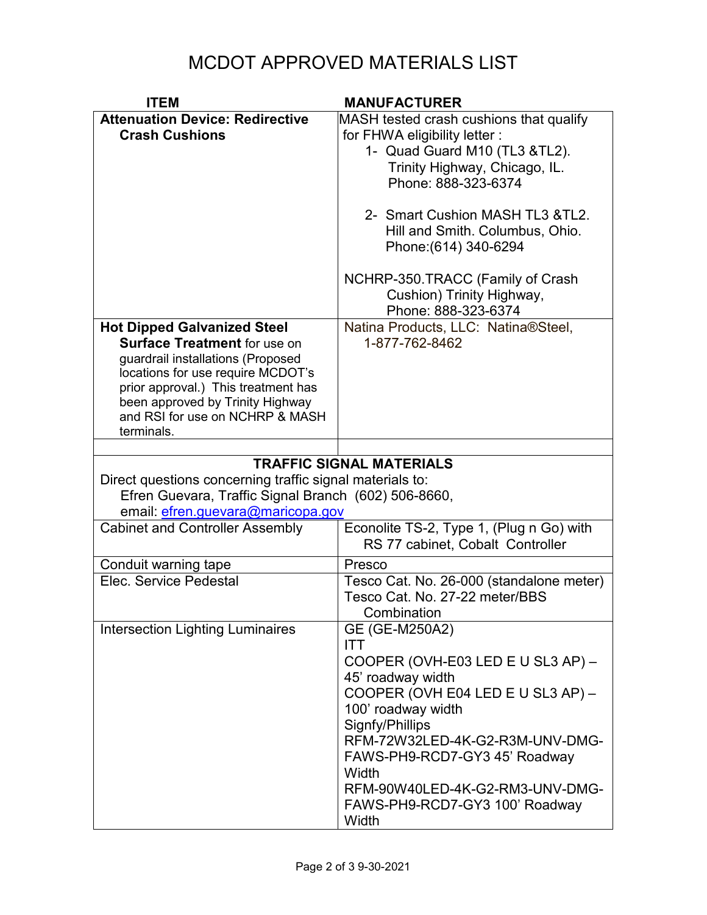## MCDOT APPROVED MATERIALS LIST

| <b>ITEM</b>                                              | <b>MANUFACTURER</b>                      |
|----------------------------------------------------------|------------------------------------------|
| <b>Attenuation Device: Redirective</b>                   | MASH tested crash cushions that qualify  |
| <b>Crash Cushions</b>                                    | for FHWA eligibility letter :            |
|                                                          | 1- Quad Guard M10 (TL3 &TL2).            |
|                                                          | Trinity Highway, Chicago, IL.            |
|                                                          | Phone: 888-323-6374                      |
|                                                          |                                          |
|                                                          | 2- Smart Cushion MASH TL3 & TL2.         |
|                                                          | Hill and Smith. Columbus, Ohio.          |
|                                                          | Phone: (614) 340-6294                    |
|                                                          |                                          |
|                                                          | NCHRP-350.TRACC (Family of Crash         |
|                                                          | Cushion) Trinity Highway,                |
|                                                          | Phone: 888-323-6374                      |
| <b>Hot Dipped Galvanized Steel</b>                       | Natina Products, LLC: Natina®Steel,      |
| <b>Surface Treatment for use on</b>                      | 1-877-762-8462                           |
| guardrail installations (Proposed                        |                                          |
| locations for use require MCDOT's                        |                                          |
| prior approval.) This treatment has                      |                                          |
| been approved by Trinity Highway                         |                                          |
| and RSI for use on NCHRP & MASH                          |                                          |
| terminals.                                               |                                          |
|                                                          |                                          |
|                                                          | <b>TRAFFIC SIGNAL MATERIALS</b>          |
| Direct questions concerning traffic signal materials to: |                                          |
| Efren Guevara, Traffic Signal Branch (602) 506-8660,     |                                          |
| email: efren.guevara@maricopa.gov                        |                                          |
| <b>Cabinet and Controller Assembly</b>                   | Econolite TS-2, Type 1, (Plug n Go) with |
|                                                          | RS 77 cabinet, Cobalt Controller         |
| Conduit warning tape                                     | Presco                                   |
| Elec. Service Pedestal                                   | Tesco Cat. No. 26-000 (standalone meter) |
|                                                          | Tesco Cat. No. 27-22 meter/BBS           |
|                                                          | Combination                              |
| <b>Intersection Lighting Luminaires</b>                  | GE (GE-M250A2)                           |
|                                                          | <b>ITT</b>                               |
|                                                          | COOPER (OVH-E03 LED E U SL3 AP) -        |
|                                                          | 45' roadway width                        |
|                                                          | COOPER (OVH E04 LED E U SL3 AP) -        |
|                                                          | 100' roadway width                       |
|                                                          | Signfy/Phillips                          |
|                                                          | RFM-72W32LED-4K-G2-R3M-UNV-DMG-          |
|                                                          | FAWS-PH9-RCD7-GY3 45' Roadway            |
|                                                          | Width                                    |
|                                                          | RFM-90W40LED-4K-G2-RM3-UNV-DMG-          |
|                                                          | FAWS-PH9-RCD7-GY3 100' Roadway           |
|                                                          |                                          |
|                                                          | Width                                    |